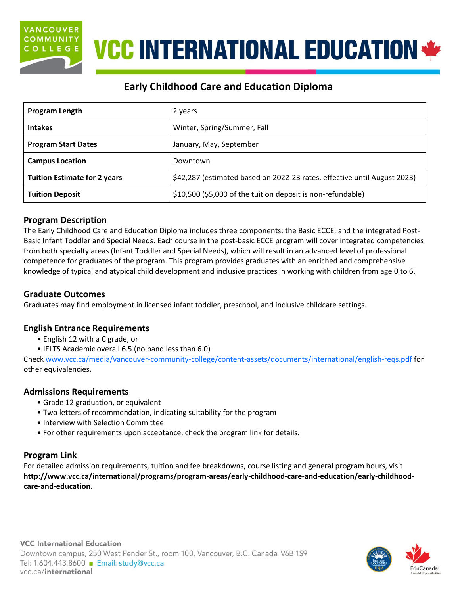

# **VCC INTERNATIONAL EDUCATION \***

## **Early Childhood Care and Education Diploma**

| Program Length                      | 2 years                                                                  |  |
|-------------------------------------|--------------------------------------------------------------------------|--|
| <b>Intakes</b>                      | Winter, Spring/Summer, Fall                                              |  |
| <b>Program Start Dates</b>          | January, May, September                                                  |  |
| <b>Campus Location</b>              | Downtown                                                                 |  |
| <b>Tuition Estimate for 2 years</b> | \$42,287 (estimated based on 2022-23 rates, effective until August 2023) |  |
| <b>Tuition Deposit</b>              | \$10,500 (\$5,000 of the tuition deposit is non-refundable)              |  |

### **Program Description**

The Early Childhood Care and Education Diploma includes three components: the Basic ECCE, and the integrated Post-Basic Infant Toddler and Special Needs. Each course in the post-basic ECCE program will cover integrated competencies from both specialty areas (Infant Toddler and Special Needs), which will result in an advanced level of professional competence for graduates of the program. This program provides graduates with an enriched and comprehensive knowledge of typical and atypical child development and inclusive practices in working with children from age 0 to 6.

#### **Graduate Outcomes**

Graduates may find employment in licensed infant toddler, preschool, and inclusive childcare settings.

#### **English Entrance Requirements**

- English 12 with a C grade, or
- IELTS Academic overall 6.5 (no band less than 6.0)

Check [www.vcc.ca/media/vancouver-community-college/content-assets/documents/international/english-reqs.pdf](http://www.vcc.ca/media/vancouver-community-college/content-assets/documents/international/english-reqs.pdf) for other equivalencies.

### **Admissions Requirements**

- Grade 12 graduation, or equivalent
- Two letters of recommendation, indicating suitability for the program
- Interview with Selection Committee
- For other requirements upon acceptance, check the program link for details.

### **Program Link**

For detailed admission requirements, tuition and fee breakdowns, course listing and general program hours, visit **[http://www.vcc.ca/international/programs/program-areas/early-childhood-care-and-education/early-childhood](http://www.vcc.ca/international/programs/program-areas/early-childhood-care-and-education/early-childhood-care-and-education)[care-and-education.](http://www.vcc.ca/international/programs/program-areas/early-childhood-care-and-education/early-childhood-care-and-education)**